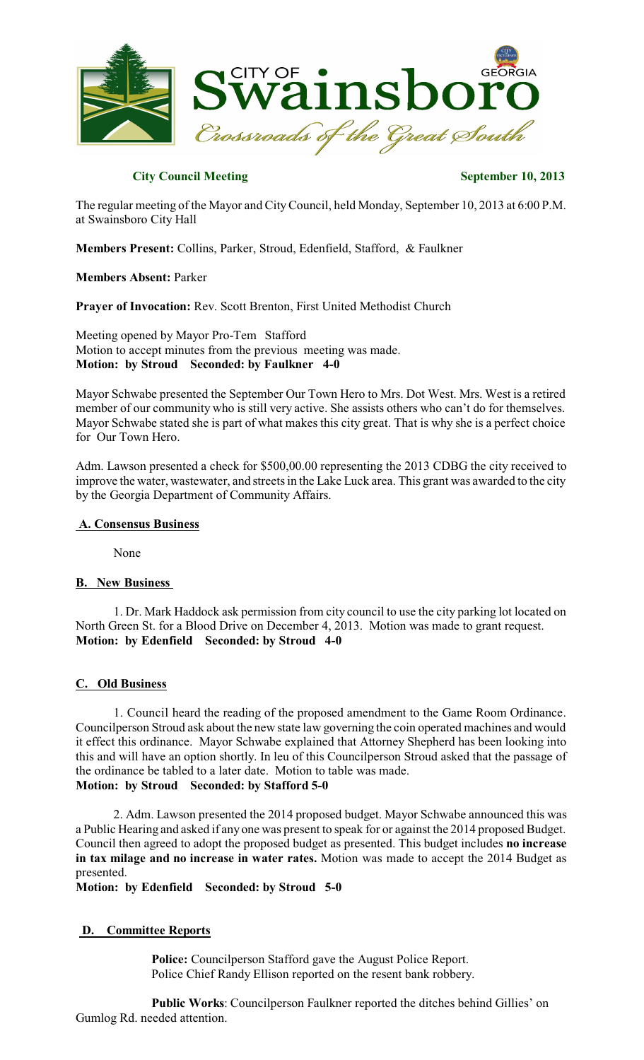

### **City Council Meeting September 10, 2013**

The regular meeting of the Mayor and CityCouncil, held Monday, September 10, 2013 at 6:00 P.M. at Swainsboro City Hall

**Members Present:** Collins, Parker, Stroud, Edenfield, Stafford, & Faulkner

**Members Absent:** Parker

**Prayer of Invocation:** Rev. Scott Brenton, First United Methodist Church

Meeting opened by Mayor Pro-Tem Stafford Motion to accept minutes from the previous meeting was made. **Motion: by Stroud Seconded: by Faulkner 4-0**

Mayor Schwabe presented the September Our Town Hero to Mrs. Dot West. Mrs. West is a retired member of our community who is still very active. She assists others who can't do for themselves. Mayor Schwabe stated she is part of what makes this city great. That is why she is a perfect choice for Our Town Hero.

Adm. Lawson presented a check for \$500,00.00 representing the 2013 CDBG the city received to improve the water, wastewater, and streets in the Lake Luck area. This grant was awarded to the city by the Georgia Department of Community Affairs.

#### **A. Consensus Business**

None

#### **B. New Business**

1. Dr. Mark Haddock ask permission from city council to use the city parking lot located on North Green St. for a Blood Drive on December 4, 2013. Motion was made to grant request. **Motion: by Edenfield Seconded: by Stroud 4-0**

#### **C. Old Business**

1. Council heard the reading of the proposed amendment to the Game Room Ordinance. Councilperson Stroud ask about the new state law governing the coin operated machines and would it effect this ordinance. Mayor Schwabe explained that Attorney Shepherd has been looking into this and will have an option shortly. In leu of this Councilperson Stroud asked that the passage of the ordinance be tabled to a later date. Motion to table was made. **Motion: by Stroud Seconded: by Stafford 5-0**

2. Adm. Lawson presented the 2014 proposed budget. Mayor Schwabe announced this was a Public Hearing and asked if any one was present to speak for or against the 2014 proposed Budget. Council then agreed to adopt the proposed budget as presented. This budget includes **no increase in tax milage and no increase in water rates.** Motion was made to accept the 2014 Budget as presented.

**Motion: by Edenfield Seconded: by Stroud 5-0**

#### **D. Committee Reports**

**Police:** Councilperson Stafford gave the August Police Report. Police Chief Randy Ellison reported on the resent bank robbery.

**Public Works**: Councilperson Faulkner reported the ditches behind Gillies' on Gumlog Rd. needed attention.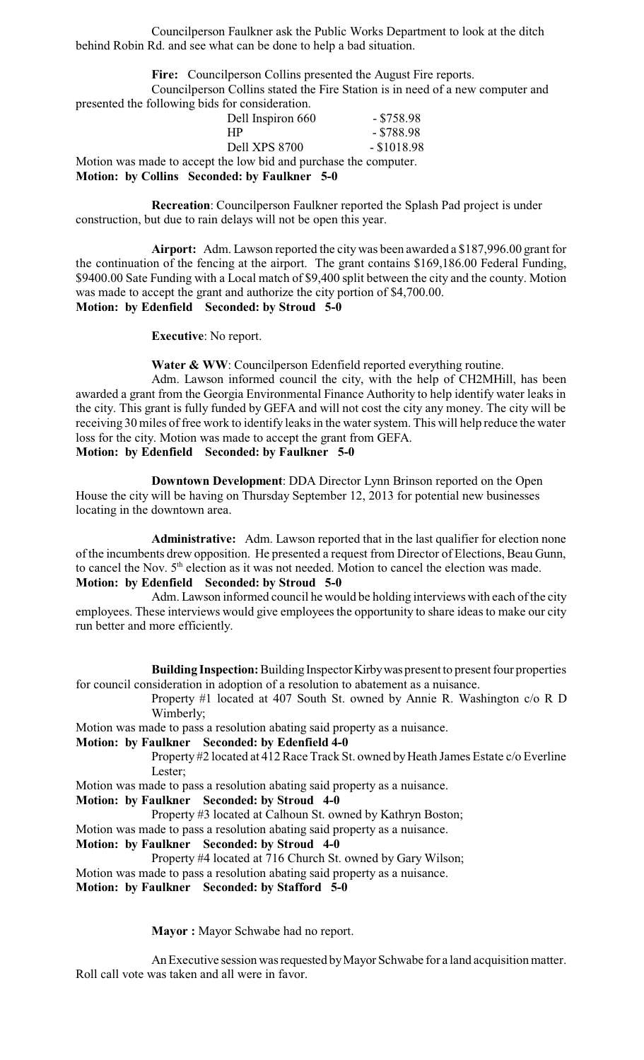Councilperson Faulkner ask the Public Works Department to look at the ditch behind Robin Rd. and see what can be done to help a bad situation.

**Fire:** Councilperson Collins presented the August Fire reports.

Councilperson Collins stated the Fire Station is in need of a new computer and presented the following bids for consideration.

| Motion: by Collins Seconded: by Faulkner 5-0                     |               |
|------------------------------------------------------------------|---------------|
| Motion was made to accept the low bid and purchase the computer. |               |
| Dell XPS 8700                                                    | $-$ \$1018.98 |
| <b>HP</b>                                                        | $-$ \$788.98  |
| Dell Inspiron 660                                                | $-$ \$758.98  |

**Recreation**: Councilperson Faulkner reported the Splash Pad project is under construction, but due to rain delays will not be open this year.

**Airport:** Adm. Lawson reported the city was been awarded a \$187,996.00 grant for the continuation of the fencing at the airport. The grant contains \$169,186.00 Federal Funding, \$9400.00 Sate Funding with a Local match of \$9,400 split between the city and the county. Motion was made to accept the grant and authorize the city portion of \$4,700.00. **Motion: by Edenfield Seconded: by Stroud 5-0**

**Executive**: No report.

Water & WW: Councilperson Edenfield reported everything routine.

Adm. Lawson informed council the city, with the help of CH2MHill, has been awarded a grant from the Georgia Environmental Finance Authority to help identify water leaks in the city. This grant is fully funded by GEFA and will not cost the city any money. The city will be receiving 30 miles of free work to identify leaks in the water system. This will help reduce the water loss for the city. Motion was made to accept the grant from GEFA. **Motion: by Edenfield Seconded: by Faulkner 5-0**

**Downtown Development**: DDA Director Lynn Brinson reported on the Open House the city will be having on Thursday September 12, 2013 for potential new businesses locating in the downtown area.

**Administrative:** Adm. Lawson reported that in the last qualifier for election none of the incumbents drew opposition. He presented a request from Director of Elections, Beau Gunn, to cancel the Nov.  $5<sup>th</sup>$  election as it was not needed. Motion to cancel the election was made. **Motion: by Edenfield Seconded: by Stroud 5-0**

Adm. Lawson informed council he would be holding interviews with each of the city employees. These interviews would give employees the opportunity to share ideas to make our city run better and more efficiently.

**Building Inspection:** Building Inspector Kirby was present to present four properties for council consideration in adoption of a resolution to abatement as a nuisance.

Property #1 located at 407 South St. owned by Annie R. Washington c/o R D Wimberly;

Motion was made to pass a resolution abating said property as a nuisance.

#### **Motion: by Faulkner Seconded: by Edenfield 4-0**

Property #2 located at 412 Race Track St. owned by Heath James Estate c/o Everline Lester;

Motion was made to pass a resolution abating said property as a nuisance.

#### **Motion: by Faulkner Seconded: by Stroud 4-0**

Property #3 located at Calhoun St. owned by Kathryn Boston;

Motion was made to pass a resolution abating said property as a nuisance.

#### **Motion: by Faulkner Seconded: by Stroud 4-0**

Property #4 located at 716 Church St. owned by Gary Wilson; Motion was made to pass a resolution abating said property as a nuisance. **Motion: by Faulkner Seconded: by Stafford 5-0**

**Mayor :** Mayor Schwabe had no report.

An Executive session was requested by Mayor Schwabe for a land acquisition matter. Roll call vote was taken and all were in favor.